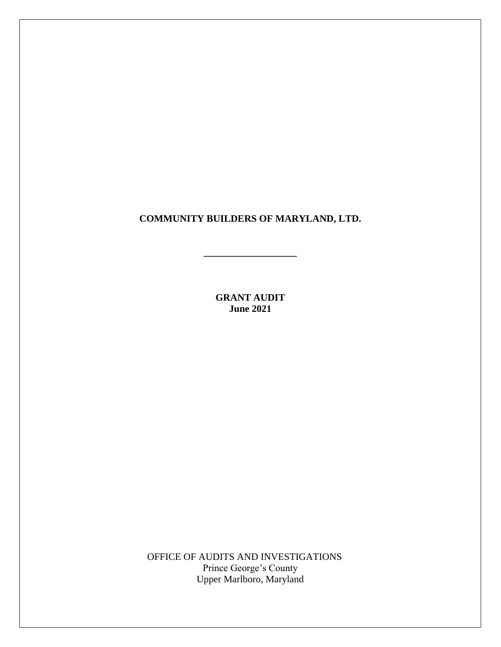**COMMUNITY BUILDERS OF MARYLAND, LTD.**

**\_\_\_\_\_\_\_\_\_\_\_\_\_\_\_\_\_\_\_**

**GRANT AUDIT June 2021**

OFFICE OF AUDITS AND INVESTIGATIONS Prince George's County Upper Marlboro, Maryland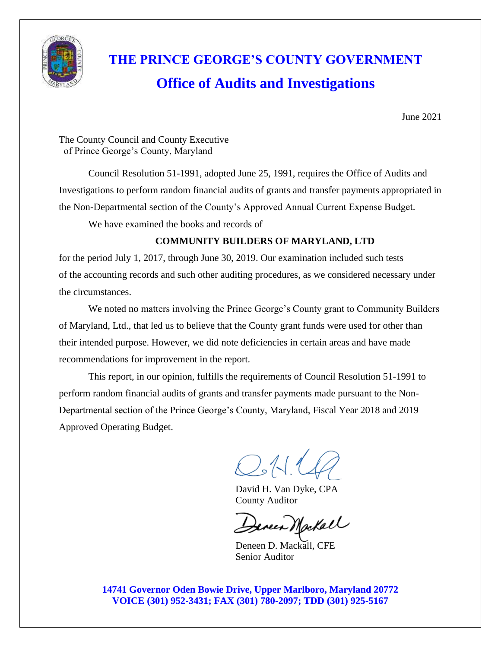

# **THE PRINCE GEORGE'S COUNTY GOVERNMENT Office of Audits and Investigations**

June 2021

The County Council and County Executive of Prince George's County, Maryland

Council Resolution 51-1991, adopted June 25, 1991, requires the Office of Audits and Investigations to perform random financial audits of grants and transfer payments appropriated in the Non-Departmental section of the County's Approved Annual Current Expense Budget.

We have examined the books and records of

## **COMMUNITY BUILDERS OF MARYLAND, LTD**

for the period July 1, 2017, through June 30, 2019. Our examination included such tests of the accounting records and such other auditing procedures, as we considered necessary under the circumstances.

We noted no matters involving the Prince George's County grant to Community Builders of Maryland, Ltd., that led us to believe that the County grant funds were used for other than their intended purpose. However, we did note deficiencies in certain areas and have made recommendations for improvement in the report.

This report, in our opinion, fulfills the requirements of Council Resolution 51-1991 to perform random financial audits of grants and transfer payments made pursuant to the Non-Departmental section of the Prince George's County, Maryland, Fiscal Year 2018 and 2019 Approved Operating Budget.

 $Q$ M.

David H. Van Dyke, CPA County Auditor

eneer Mackall

 Deneen D. Mackall, CFE Senior Auditor

**14741 Governor Oden Bowie Drive, Upper Marlboro, Maryland 20772 VOICE (301) 952-3431; FAX (301) 780-2097; TDD (301) 925-5167**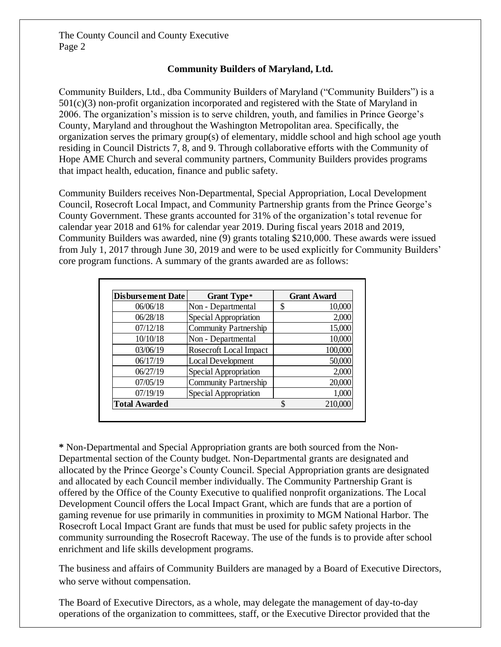## **Community Builders of Maryland, Ltd.**

Community Builders, Ltd., dba Community Builders of Maryland ("Community Builders") is a 501(c)(3) non-profit organization incorporated and registered with the State of Maryland in 2006. The organization's mission is to serve children, youth, and families in Prince George's County, Maryland and throughout the Washington Metropolitan area. Specifically, the organization serves the primary group(s) of elementary, middle school and high school age youth residing in Council Districts 7, 8, and 9. Through collaborative efforts with the Community of Hope AME Church and several community partners, Community Builders provides programs that impact health, education, finance and public safety.

Community Builders receives Non-Departmental, Special Appropriation, Local Development Council, Rosecroft Local Impact, and Community Partnership grants from the Prince George's County Government. These grants accounted for 31% of the organization's total revenue for calendar year 2018 and 61% for calendar year 2019. During fiscal years 2018 and 2019, Community Builders was awarded, nine (9) grants totaling \$210,000. These awards were issued from July 1, 2017 through June 30, 2019 and were to be used explicitly for Community Builders' core program functions. A summary of the grants awarded are as follows:

| <b>Disbursement Date</b> | <b>Grant Type*</b>           | <b>Grant Award</b> |         |  |
|--------------------------|------------------------------|--------------------|---------|--|
| 06/06/18                 | Non - Departmental           | S                  | 10,000  |  |
| 06/28/18                 | Special Appropriation        |                    | 2,000   |  |
| 07/12/18                 | <b>Community Partnership</b> |                    | 15,000  |  |
| 10/10/18                 | Non - Departmental           |                    | 10,000  |  |
| 03/06/19                 | Rosecroft Local Impact       |                    | 100,000 |  |
| 06/17/19                 | Local Development            |                    | 50,000  |  |
| 06/27/19                 | Special Appropriation        |                    | 2,000   |  |
| 07/05/19                 | <b>Community Partnership</b> |                    | 20,000  |  |
| 07/19/19                 | Special Appropriation        |                    | 1,000   |  |
| <b>Total Awarded</b>     |                              | \$                 | 210,000 |  |

**\*** Non-Departmental and Special Appropriation grants are both sourced from the Non-Departmental section of the County budget. Non-Departmental grants are designated and allocated by the Prince George's County Council. Special Appropriation grants are designated and allocated by each Council member individually. The Community Partnership Grant is offered by the Office of the County Executive to qualified nonprofit organizations. The Local Development Council offers the Local Impact Grant, which are funds that are a portion of gaming revenue for use primarily in communities in proximity to MGM National Harbor. The Rosecroft Local Impact Grant are funds that must be used for public safety projects in the community surrounding the Rosecroft Raceway. The use of the funds is to provide after school enrichment and life skills development programs.

The business and affairs of Community Builders are managed by a Board of Executive Directors, who serve without compensation.

The Board of Executive Directors, as a whole, may delegate the management of day-to-day operations of the organization to committees, staff, or the Executive Director provided that the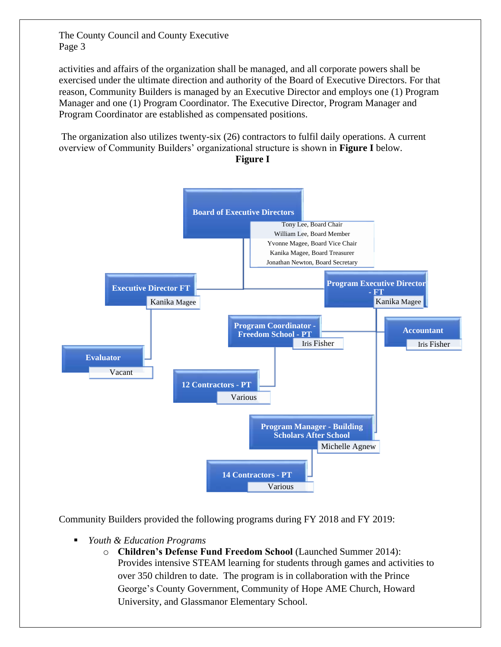activities and affairs of the organization shall be managed, and all corporate powers shall be exercised under the ultimate direction and authority of the Board of Executive Directors. For that reason, Community Builders is managed by an Executive Director and employs one (1) Program Manager and one (1) Program Coordinator. The Executive Director, Program Manager and Program Coordinator are established as compensated positions.

The organization also utilizes twenty-six (26) contractors to fulfil daily operations. A current overview of Community Builders' organizational structure is shown in **Figure I** below. **Figure I**



Community Builders provided the following programs during FY 2018 and FY 2019:

- *Youth & Education Programs*
	- o **Children's Defense Fund Freedom School** (Launched Summer 2014): Provides intensive STEAM learning for students through games and activities to over 350 children to date. The program is in collaboration with the Prince George's County Government, Community of Hope AME Church, Howard University, and Glassmanor Elementary School.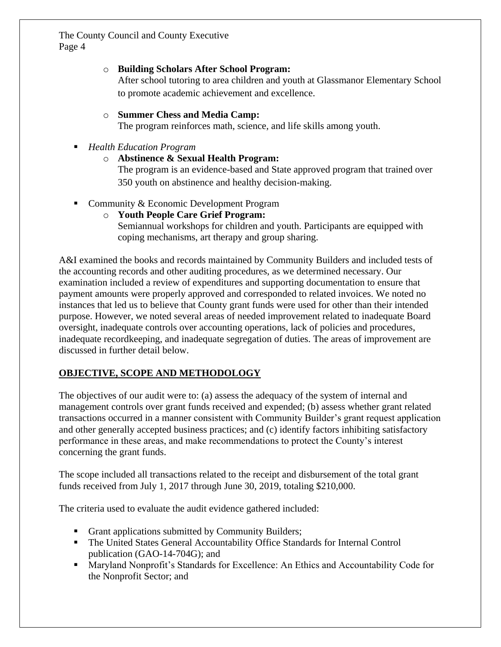## o **Building Scholars After School Program:**

After school tutoring to area children and youth at Glassmanor Elementary School to promote academic achievement and excellence.

## o **Summer Chess and Media Camp:**

The program reinforces math, science, and life skills among youth.

- *Health Education Program* 
	- o **Abstinence & Sexual Health Program:**

The program is an evidence-based and State approved program that trained over 350 youth on abstinence and healthy decision-making.

- Community & Economic Development Program
	- o **Youth People Care Grief Program:**  Semiannual workshops for children and youth. Participants are equipped with coping mechanisms, art therapy and group sharing.

A&I examined the books and records maintained by Community Builders and included tests of the accounting records and other auditing procedures, as we determined necessary. Our examination included a review of expenditures and supporting documentation to ensure that payment amounts were properly approved and corresponded to related invoices. We noted no instances that led us to believe that County grant funds were used for other than their intended purpose. However, we noted several areas of needed improvement related to inadequate Board oversight, inadequate controls over accounting operations, lack of policies and procedures, inadequate recordkeeping, and inadequate segregation of duties. The areas of improvement are discussed in further detail below.

## **OBJECTIVE, SCOPE AND METHODOLOGY**

The objectives of our audit were to: (a) assess the adequacy of the system of internal and management controls over grant funds received and expended; (b) assess whether grant related transactions occurred in a manner consistent with Community Builder's grant request application and other generally accepted business practices; and (c) identify factors inhibiting satisfactory performance in these areas, and make recommendations to protect the County's interest concerning the grant funds.

The scope included all transactions related to the receipt and disbursement of the total grant funds received from July 1, 2017 through June 30, 2019, totaling \$210,000.

The criteria used to evaluate the audit evidence gathered included:

- Grant applications submitted by Community Builders;
- The United States General Accountability Office Standards for Internal Control publication (GAO-14-704G); and
- Maryland Nonprofit's Standards for Excellence: An Ethics and Accountability Code for the Nonprofit Sector; and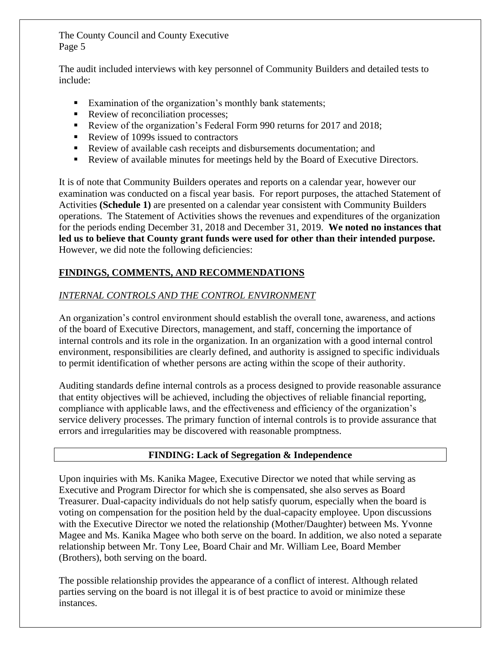The audit included interviews with key personnel of Community Builders and detailed tests to include:

- Examination of the organization's monthly bank statements;
- Review of reconciliation processes;
- Review of the organization's Federal Form 990 returns for 2017 and 2018;
- Review of 1099s issued to contractors
- Review of available cash receipts and disbursements documentation; and
- Review of available minutes for meetings held by the Board of Executive Directors.

It is of note that Community Builders operates and reports on a calendar year, however our examination was conducted on a fiscal year basis. For report purposes, the attached Statement of Activities **(Schedule 1)** are presented on a calendar year consistent with Community Builders operations. The Statement of Activities shows the revenues and expenditures of the organization for the periods ending December 31, 2018 and December 31, 2019. **We noted no instances that led us to believe that County grant funds were used for other than their intended purpose.** However, we did note the following deficiencies:

## **FINDINGS, COMMENTS, AND RECOMMENDATIONS**

## *INTERNAL CONTROLS AND THE CONTROL ENVIRONMENT*

An organization's control environment should establish the overall tone, awareness, and actions of the board of Executive Directors, management, and staff, concerning the importance of internal controls and its role in the organization. In an organization with a good internal control environment, responsibilities are clearly defined, and authority is assigned to specific individuals to permit identification of whether persons are acting within the scope of their authority.

Auditing standards define internal controls as a process designed to provide reasonable assurance that entity objectives will be achieved, including the objectives of reliable financial reporting, compliance with applicable laws, and the effectiveness and efficiency of the organization's service delivery processes. The primary function of internal controls is to provide assurance that errors and irregularities may be discovered with reasonable promptness.

#### **FINDING: Lack of Segregation & Independence**

Upon inquiries with Ms. Kanika Magee, Executive Director we noted that while serving as Executive and Program Director for which she is compensated, she also serves as Board Treasurer. Dual-capacity individuals do not help satisfy quorum, especially when the board is voting on compensation for the position held by the dual-capacity employee. Upon discussions with the Executive Director we noted the relationship (Mother/Daughter) between Ms. Yvonne Magee and Ms. Kanika Magee who both serve on the board. In addition, we also noted a separate relationship between Mr. Tony Lee, Board Chair and Mr. William Lee, Board Member (Brothers), both serving on the board.

The possible relationship provides the appearance of a conflict of interest. Although related parties serving on the board is not illegal it is of best practice to avoid or minimize these instances.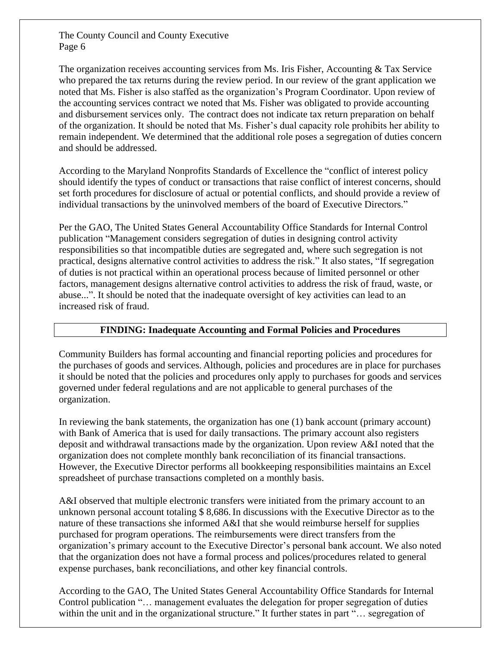The organization receives accounting services from Ms. Iris Fisher, Accounting & Tax Service who prepared the tax returns during the review period. In our review of the grant application we noted that Ms. Fisher is also staffed as the organization's Program Coordinator. Upon review of the accounting services contract we noted that Ms. Fisher was obligated to provide accounting and disbursement services only. The contract does not indicate tax return preparation on behalf of the organization. It should be noted that Ms. Fisher's dual capacity role prohibits her ability to remain independent. We determined that the additional role poses a segregation of duties concern and should be addressed.

According to the Maryland Nonprofits Standards of Excellence the "conflict of interest policy should identify the types of conduct or transactions that raise conflict of interest concerns, should set forth procedures for disclosure of actual or potential conflicts, and should provide a review of individual transactions by the uninvolved members of the board of Executive Directors."

Per the GAO, The United States General Accountability Office Standards for Internal Control publication "Management considers segregation of duties in designing control activity responsibilities so that incompatible duties are segregated and, where such segregation is not practical, designs alternative control activities to address the risk." It also states, "If segregation of duties is not practical within an operational process because of limited personnel or other factors, management designs alternative control activities to address the risk of fraud, waste, or abuse...". It should be noted that the inadequate oversight of key activities can lead to an increased risk of fraud.

## **FINDING: Inadequate Accounting and Formal Policies and Procedures**

Community Builders has formal accounting and financial reporting policies and procedures for the purchases of goods and services. Although, policies and procedures are in place for purchases it should be noted that the policies and procedures only apply to purchases for goods and services governed under federal regulations and are not applicable to general purchases of the organization.

In reviewing the bank statements, the organization has one (1) bank account (primary account) with Bank of America that is used for daily transactions. The primary account also registers deposit and withdrawal transactions made by the organization. Upon review A&I noted that the organization does not complete monthly bank reconciliation of its financial transactions. However, the Executive Director performs all bookkeeping responsibilities maintains an Excel spreadsheet of purchase transactions completed on a monthly basis.

A&I observed that multiple electronic transfers were initiated from the primary account to an unknown personal account totaling \$ 8,686. In discussions with the Executive Director as to the nature of these transactions she informed A&I that she would reimburse herself for supplies purchased for program operations. The reimbursements were direct transfers from the organization's primary account to the Executive Director's personal bank account. We also noted that the organization does not have a formal process and polices/procedures related to general expense purchases, bank reconciliations, and other key financial controls.

According to the GAO, The United States General Accountability Office Standards for Internal Control publication "… management evaluates the delegation for proper segregation of duties within the unit and in the organizational structure." It further states in part "... segregation of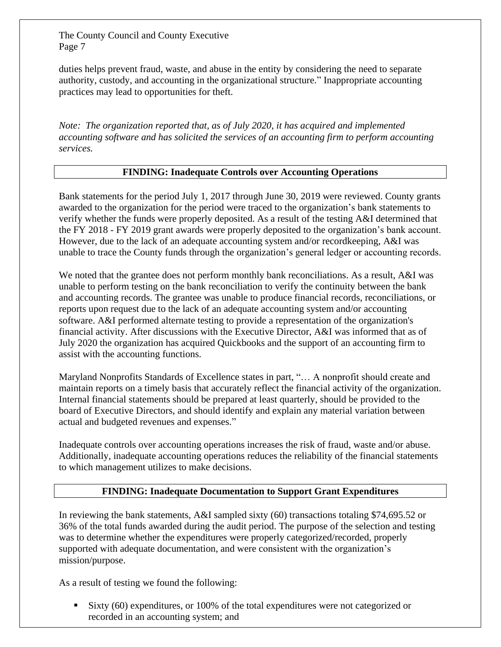duties helps prevent fraud, waste, and abuse in the entity by considering the need to separate authority, custody, and accounting in the organizational structure." Inappropriate accounting practices may lead to opportunities for theft.

*Note: The organization reported that, as of July 2020, it has acquired and implemented accounting software and has solicited the services of an accounting firm to perform accounting services.*

## **FINDING: Inadequate Controls over Accounting Operations**

Bank statements for the period July 1, 2017 through June 30, 2019 were reviewed. County grants awarded to the organization for the period were traced to the organization's bank statements to verify whether the funds were properly deposited. As a result of the testing A&I determined that the FY 2018 - FY 2019 grant awards were properly deposited to the organization's bank account. However, due to the lack of an adequate accounting system and/or recordkeeping, A&I was unable to trace the County funds through the organization's general ledger or accounting records.

We noted that the grantee does not perform monthly bank reconciliations. As a result, A&I was unable to perform testing on the bank reconciliation to verify the continuity between the bank and accounting records. The grantee was unable to produce financial records, reconciliations, or reports upon request due to the lack of an adequate accounting system and/or accounting software. A&I performed alternate testing to provide a representation of the organization's financial activity. After discussions with the Executive Director, A&I was informed that as of July 2020 the organization has acquired Quickbooks and the support of an accounting firm to assist with the accounting functions.

Maryland Nonprofits Standards of Excellence states in part, "… A nonprofit should create and maintain reports on a timely basis that accurately reflect the financial activity of the organization. Internal financial statements should be prepared at least quarterly, should be provided to the board of Executive Directors, and should identify and explain any material variation between actual and budgeted revenues and expenses."

Inadequate controls over accounting operations increases the risk of fraud, waste and/or abuse. Additionally, inadequate accounting operations reduces the reliability of the financial statements to which management utilizes to make decisions.

## **FINDING: Inadequate Documentation to Support Grant Expenditures**

In reviewing the bank statements, A&I sampled sixty (60) transactions totaling \$74,695.52 or 36% of the total funds awarded during the audit period. The purpose of the selection and testing was to determine whether the expenditures were properly categorized/recorded, properly supported with adequate documentation, and were consistent with the organization's mission/purpose.

As a result of testing we found the following:

■ Sixty (60) expenditures, or 100% of the total expenditures were not categorized or recorded in an accounting system; and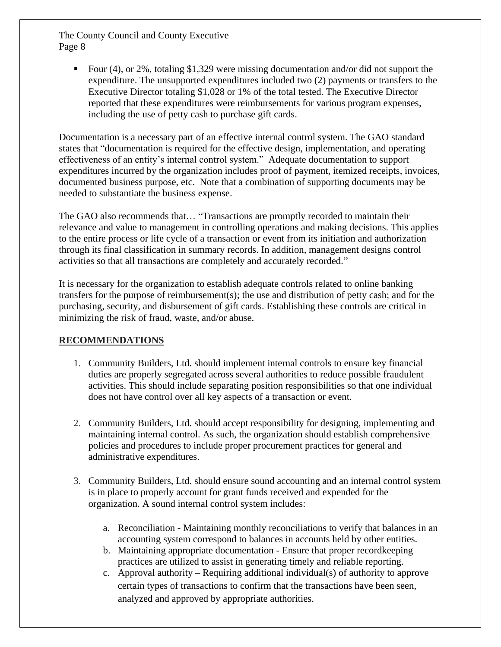E our (4), or 2%, totaling \$1,329 were missing documentation and/or did not support the expenditure. The unsupported expenditures included two (2) payments or transfers to the Executive Director totaling \$1,028 or 1% of the total tested. The Executive Director reported that these expenditures were reimbursements for various program expenses, including the use of petty cash to purchase gift cards.

Documentation is a necessary part of an effective internal control system. The GAO standard states that "documentation is required for the effective design, implementation, and operating effectiveness of an entity's internal control system." Adequate documentation to support expenditures incurred by the organization includes proof of payment, itemized receipts, invoices, documented business purpose, etc. Note that a combination of supporting documents may be needed to substantiate the business expense.

The GAO also recommends that… "Transactions are promptly recorded to maintain their relevance and value to management in controlling operations and making decisions. This applies to the entire process or life cycle of a transaction or event from its initiation and authorization through its final classification in summary records. In addition, management designs control activities so that all transactions are completely and accurately recorded."

It is necessary for the organization to establish adequate controls related to online banking transfers for the purpose of reimbursement(s); the use and distribution of petty cash; and for the purchasing, security, and disbursement of gift cards. Establishing these controls are critical in minimizing the risk of fraud, waste, and/or abuse.

## **RECOMMENDATIONS**

- 1. Community Builders, Ltd. should implement internal controls to ensure key financial duties are properly segregated across several authorities to reduce possible fraudulent activities. This should include separating position responsibilities so that one individual does not have control over all key aspects of a transaction or event.
- 2. Community Builders, Ltd. should accept responsibility for designing, implementing and maintaining internal control. As such, the organization should establish comprehensive policies and procedures to include proper procurement practices for general and administrative expenditures.
- 3. Community Builders, Ltd. should ensure sound accounting and an internal control system is in place to properly account for grant funds received and expended for the organization. A sound internal control system includes:
	- a. Reconciliation Maintaining monthly reconciliations to verify that balances in an accounting system correspond to balances in accounts held by other entities.
	- b. Maintaining appropriate documentation Ensure that proper recordkeeping practices are utilized to assist in generating timely and reliable reporting.
	- c. Approval authority Requiring additional individual(s) of authority to approve certain types of transactions to confirm that the transactions have been seen, analyzed and approved by appropriate authorities.